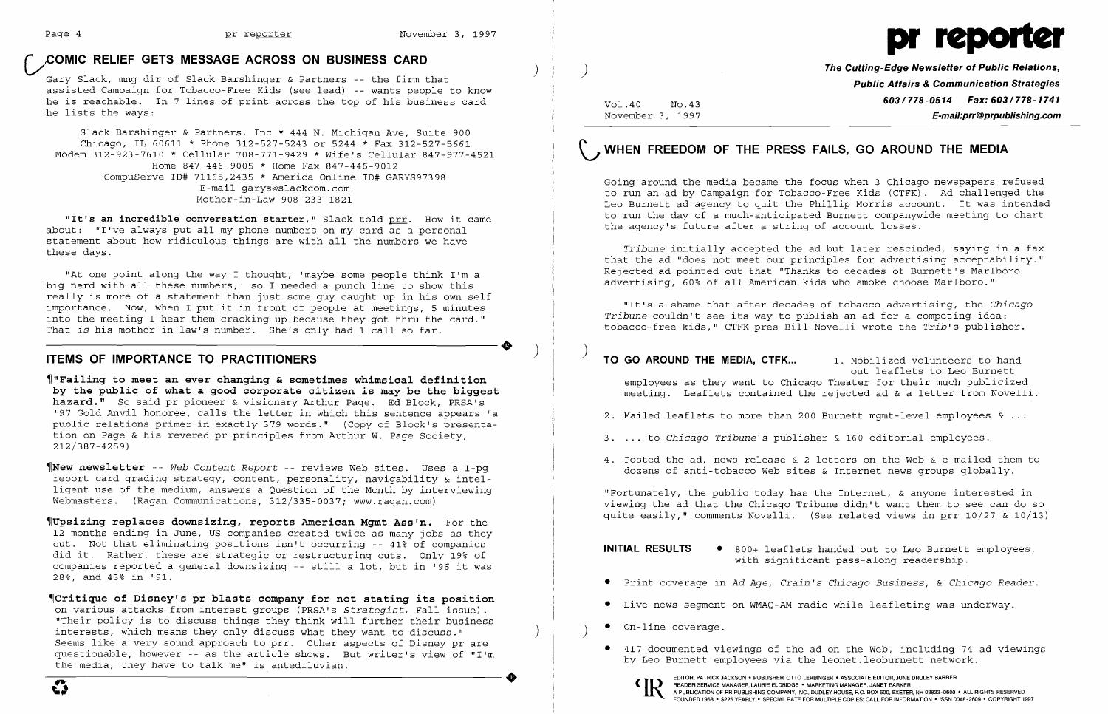## **COMIC RELIEF GETS MESSAGE ACROSS ON BUSINESS CARD**



**COMIC RELIEF GETS MESSAGE ACROSS ON BUSINESS CARD**<br>Gary Slack, mng dir of Slack Barshinger & Partners -- the firm that  $\left($ assisted Campaign for Tobacco-Free Kids (see lead) -- wants people to know he is reachable. In 7 lines of print across the top of his business card he lists the ways:

Slack Barshinger & Partners, Inc \* 444 N. Michigan Ave, Suite 900 Chicago, IL 60611 \* Phone 312-527-5243 or 5244 \* Fax 312-527-5661 Modem 312-923-7610 \* Cellular 708-771-9429 \* Wife's Cellular 847-977-4521 Home 847-446-9005 \* Home Fax 847-446-9012 CompuServe ID# 71165,2435 \* America Online ID# GARYS97398 E-mail garys@slackcom.com Mother-in-Law 908-233-1821

**"It's an incredible conversation starter,"** Slack told prr. How it came about: "I've always put all my phone numbers on my card as a personal statement about how ridiculous things are with all the numbers we have these days.

"At one point along the way I thought, 'maybe some people think I'm a big nerd with all these numbers, ' so I needed a punch line to show this really is more of a statement than just some guy caught up in his own self importance. Now, when I put it in front of people at meetings, 5 minutes Importance: Now, when I packed in Tions of people at meetings, 5 minutes<br>into the meeting I hear them cracking up because they got thru the card."<br>That is his mother-in-law's number. She's only had 1 call so far. That *is* his mother-in-Iaw's number. She's only had 1 call so far.

~"Failing **to meet an ever changing & sometimes whimsical definition by the public of what a good corporate citizen is may be the biggest hazard."** So said pr pioneer & visionary Arthur Page. Ed Block, PRSA's '97 Gold Anvil honoree, calls the letter in which this sentence appears "a public relations primer in exactly 379 words." (Copy of Block's presenta .<br>tion on Page & his revered pr principles from Arthur W. Page Society, 212/387-4259)

~New **newsletter** -- *Web Content Report* -- reviews Web sites. Uses a 1-pg report card grading strategy, content, personality, navigability & intelligent use of the medium, answers a Question of the Month by interviewing Webmasters. (Ragan Communications, 312/335-0037; www.ragan.com)

**TO GO AROUND THE MEDIA, CTFK...** 1. Mobilized volunteers to hand out leaflets to Leo Burnett employees as they went to Chicago Theater for their much publicized meeting. Leaflets contained the rejected ad & a letter from Novelli.

- 2. Mailed leaflets to more than 200 Burnett mgmt-level employees  $\&\ldots$
- <sup>3</sup> .... to *Chicago Tribune's* publisher & 160 editorial employees.
- 4. Posted the ad, news release & 2 letters on the Web & e-mailed them to dozens of anti-tobacco Web sites & Internet news groups globally.

~Upsizing **replaces downsizing, reports American Mgmt Ass'n.** For the 12 months ending in June, US companies created twice as many jobs as they cut. Not that eliminating positions isn't occurring -- 41% of companies did it. Rather, these are strategic or restructuring cuts. Only 19% of companies reported a general downsizing -- still a lot, but in '96 it was 28%, and 43% in '91.

- **INITIAL RESULTS** 800+ leaflets handed out to Leo Burnett employees,
- 
- • Live news segment on WMAQ-AM radio while leafleting was underway.
- On-line coverage.
- by Leo Burnett employees via the leonet.leoburnett network.

EDITOR, PATRICK JACKSON· PUBLISHER, OTTO LERBINGER • ASSOCIATE EDITOR, JUNE DRULEY BARBER READER SERVICE MANAGER, LAURIE ELDRIDGE · MARKETING MANAGER, JANET BARKER



~Critique **of Disney's pr blasts company for not stating its position**  on various attacks from interest groups (PRSA's *Strategist,* Fall issue). "Their policy is to discuss things they think will further their business interests, which means they only discuss what they want to discuss." Seems like a very sound approach to prr. Other aspects of Disney pr are questionable, however -- as the article shows. But writer's view of "I'm the media, they have to talk me" is antediluvian.

)

Vol.40 No.43 November 3, 1997 **The Cutting-Edge Newsletter of Public Relations, Public Affairs & Communication Strategies 603/778-0514 Fax: 603/778-1741 E-mail:prr@prpublishing.com** 

# G **WHEN FREEDOM OF THE PRESS FAILS, GO AROUND THE MEDIA**

Going around the media became the focus when 3 Chicago newspapers refused to run an ad by Campaign for Tobacco-Free Kids (CTFK). Ad challenged the Leo Burnett ad agency to quit the Phillip Morris account. It was intended to run the day of a much-anticipated Burnett companywide meeting to chart the agency's future after a string of account losses.

*Tribune* initially accepted the ad but later rescinded, saying in a fax that the ad "does not meet our principles for advertising acceptability." Rejected ad pointed out that "Thanks to decades of Burnett's Marlboro advertising, 60% of all American kids who smoke choose Marlboro."

"It's a shame that after decades of tobacco advertising, the *Chicago Tribune* couldn't see its way to publish an ad for a competing idea: tobacco-free kids," CTFK pres Bill Novelli wrote the *Trib's* publisher.

"Fortunately, the public today has the Internet, & anyone interested in viewing the ad that the Chicago Tribune didn't want them to see can do so quite easily," comments Novelli. (See related views in prr 10/27 & 10/13)

with significant pass-along readership.

• Print coverage in *Ad Age, Crain's Chicago Business,* & *Chicago Reader.* 

• 417 documented viewings of the ad on the Web, including 74 ad viewings